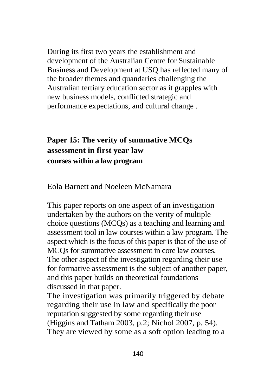## **Paper 15: The verity of summative MCQs assessment in first year law courses within a law program**

Eola Barnett and Noeleen McNamara

This paper reports on one aspect of an investigation undertaken by the authors on the verity of multiple choice questions (MCQs) as a teaching and learning and assessment tool in law courses within a law program. The aspect which is the focus of this paper is that of the use of MCQs for summative assessment in core law courses. The other aspect of the investigation regarding their use for formative assessment is the subject of another paper, and this paper builds on theoretical foundations discussed in that paper.

The investigation was primarily triggered by debate regarding their use in law and specifically the poor reputation suggested by some regarding their use (Higgins and Tatham 2003, p.2; Nichol 2007, p. 54). They are viewed by some as a soft option leading to a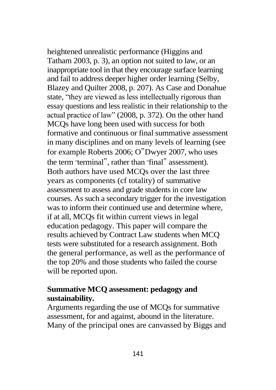heightened unrealistic performance (Higgins and Tatham 2003, p. 3), an option not suited to law, or an inappropriate tool in that they encourage surface learning and fail to address deeper higher order learning (Selby, Blazey and Quilter 2008, p. 207). As Case and Donahue state, "they are viewed as less intellectually rigorous than essay questions and less realistic in their relationship to the actual practice of law" (2008, p. 372). On the other hand MCQs have long been used with success for both formative and continuous or final summative assessment in many disciplines and on many levels of learning (see for example Roberts 2006; O"Dwyer 2007, who uses the term " terminal", rather than " final" assessment). Both authors have used MCQs over the last three years as components (cf totality) of summative assessment to assess and grade students in core law courses. As such a secondary trigger for the investigation was to inform their continued use and determine where, if at all, MCQs fit within current views in legal education pedagogy. This paper will compare the results achieved by Contract Law students when MCQ tests were substituted for a research assignment. Both the general performance, as well as the performance of the top 20% and those students who failed the course will be reported upon.

## **Summative MCQ assessment: pedagogy and sustainability.**

Arguments regarding the use of MCQs for summative assessment, for and against, abound in the literature. Many of the principal ones are canvassed by Biggs and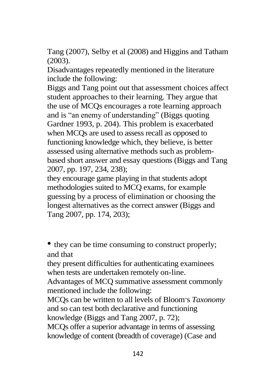Tang (2007), Selby et al (2008) and Higgins and Tatham (2003).

Disadvantages repeatedly mentioned in the literature include the following:

Biggs and Tang point out that assessment choices affect student approaches to their learning. They argue that the use of MCQs encourages a rote learning approach and is "an enemy of understanding" (Biggs quoting Gardner 1993, p. 204). This problem is exacerbated when MCQs are used to assess recall as opposed to functioning knowledge which, they believe, is better assessed using alternative methods such as problembased short answer and essay questions (Biggs and Tang 2007, pp. 197, 234, 238);

they encourage game playing in that students adopt methodologies suited to MCQ exams, for example guessing by a process of elimination or choosing the longest alternatives as the correct answer (Biggs and Tang 2007, pp. 174, 203);

• they can be time consuming to construct properly; and that

they present difficulties for authenticating examinees when tests are undertaken remotely on-line.

Advantages of MCQ summative assessment commonly mentioned include the following:

MCQs can be written to all levels of Bloom" s *Taxonomy* and so can test both declarative and functioning knowledge (Biggs and Tang 2007, p. 72);

MCQs offer a superior advantage in terms of assessing knowledge of content (breadth of coverage) (Case and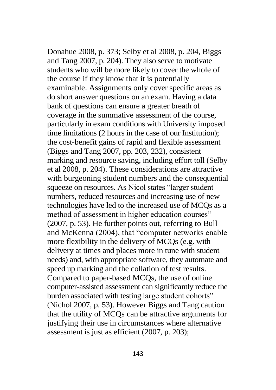Donahue 2008, p. 373; Selby et al 2008, p. 204, Biggs and Tang 2007, p. 204). They also serve to motivate students who will be more likely to cover the whole of the course if they know that it is potentially examinable. Assignments only cover specific areas as do short answer questions on an exam. Having a data bank of questions can ensure a greater breath of coverage in the summative assessment of the course, particularly in exam conditions with University imposed time limitations (2 hours in the case of our Institution); the cost-benefit gains of rapid and flexible assessment (Biggs and Tang 2007, pp. 203, 232), consistent marking and resource saving, including effort toll (Selby et al 2008, p. 204). These considerations are attractive with burgeoning student numbers and the consequential squeeze on resources. As Nicol states "larger student numbers, reduced resources and increasing use of new technologies have led to the increased use of MCQs as a method of assessment in higher education courses" (2007, p. 53). He further points out, referring to Bull and McKenna (2004), that "computer networks enable more flexibility in the delivery of MCQs (e.g. with delivery at times and places more in tune with student needs) and, with appropriate software, they automate and speed up marking and the collation of test results. Compared to paper-based MCQs, the use of online computer-assisted assessment can significantly reduce the burden associated with testing large student cohorts" (Nichol 2007, p. 53). However Biggs and Tang caution that the utility of MCQs can be attractive arguments for justifying their use in circumstances where alternative assessment is just as efficient (2007, p. 203);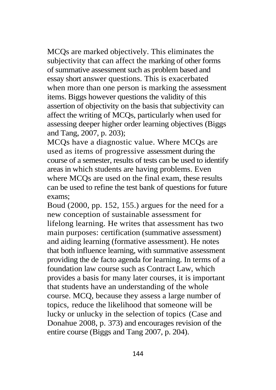MCQs are marked objectively. This eliminates the subjectivity that can affect the marking of other forms of summative assessment such as problem based and essay short answer questions. This is exacerbated when more than one person is marking the assessment items. Biggs however questions the validity of this assertion of objectivity on the basis that subjectivity can affect the writing of MCQs, particularly when used for assessing deeper higher order learning objectives (Biggs and Tang, 2007, p. 203);

MCQs have a diagnostic value. Where MCQs are used as items of progressive assessment during the course of a semester, results of tests can be used to identify areas in which students are having problems. Even where MCQs are used on the final exam, these results can be used to refine the test bank of questions for future exams;

Boud (2000, pp. 152, 155.) argues for the need for a new conception of sustainable assessment for lifelong learning. He writes that assessment has two main purposes: certification (summative assessment) and aiding learning (formative assessment). He notes that both influence learning, with summative assessment providing the de facto agenda for learning. In terms of a foundation law course such as Contract Law, which provides a basis for many later courses, it is important that students have an understanding of the whole course. MCQ, because they assess a large number of topics, "reduce the likelihood that someone will be lucky or unlucky in the selection of topics" (Case and Donahue 2008, p. 373) and encourages revision of the entire course (Biggs and Tang 2007, p. 204).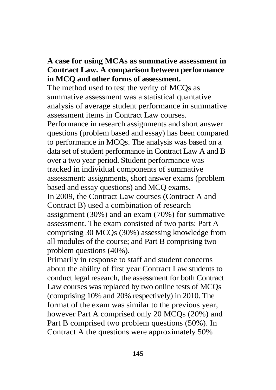## **A case for using MCAs as summative assessment in Contract Law. A comparison between performance in MCQ and other forms of assessment.**

The method used to test the verity of MCQs as summative assessment was a statistical quantative analysis of average student performance in summative assessment items in Contract Law courses.

Performance in research assignments and short answer questions (problem based and essay) has been compared to performance in MCQs. The analysis was based on a data set of student performance in Contract Law A and B over a two year period. Student performance was tracked in individual components of summative assessment: assignments, short answer exams (problem based and essay questions) and MCQ exams. In 2009, the Contract Law courses (Contract A and Contract B) used a combination of research assignment (30%) and an exam (70%) for summative assessment. The exam consisted of two parts: Part A comprising 30 MCQs (30%) assessing knowledge from all modules of the course; and Part B comprising two problem questions (40%).

Primarily in response to staff and student concerns about the ability of first year Contract Law students to conduct legal research, the assessment for both Contract Law courses was replaced by two online tests of MCQs (comprising 10% and 20% respectively) in 2010. The format of the exam was similar to the previous year, however Part A comprised only 20 MCQs (20%) and Part B comprised two problem questions (50%). In Contract A the questions were approximately 50%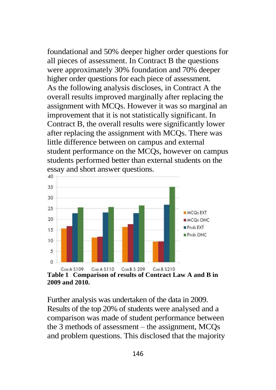foundational and 50% deeper higher order questions for all pieces of assessment. In Contract B the questions were approximately 30% foundation and 70% deeper higher order questions for each piece of assessment. As the following analysis discloses, in Contract A the overall results improved marginally after replacing the assignment with MCQs. However it was so marginal an improvement that it is not statistically significant. In Contract B, the overall results were significantly lower after replacing the assignment with MCQs. There was little difference between on campus and external student performance on the MCQs, however on campus students performed better than external students on the essay and short answer questions.



**<sup>2009</sup> and 2010.**

Further analysis was undertaken of the data in 2009. Results of the top 20% of students were analysed and a comparison was made of student performance between the 3 methods of assessment – the assignment, MCQs and problem questions. This disclosed that the majority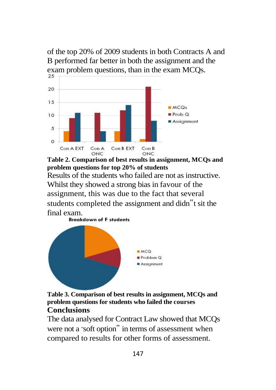of the top 20% of 2009 students in both Contracts A and B performed far better in both the assignment and the exam problem questions, than in the exam MCQs.



**Table 2. Comparison of best results in assignment, MCQs and problem questions for top 20% of students**

Results of the students who failed are not as instructive. Whilst they showed a strong bias in favour of the assignment, this was due to the fact that several students completed the assignment and didn"t sit the final exam.<br>**Breakdown of F students** 





The data analysed for Contract Law showed that MCQs were not a " soft option" in terms of assessment when compared to results for other forms of assessment.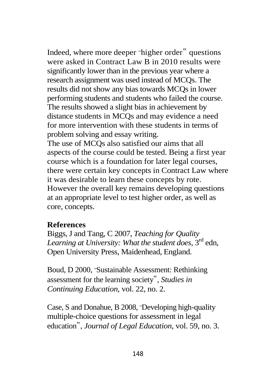Indeed, where more deeper " higher order" questions were asked in Contract Law B in 2010 results were significantly lower than in the previous year where a research assignment was used instead of MCQs. The results did not show any bias towards MCQs in lower performing students and students who failed the course. The results showed a slight bias in achievement by distance students in MCQs and may evidence a need for more intervention with these students in terms of problem solving and essay writing.

The use of MCQs also satisfied our aims that all aspects of the course could be tested. Being a first year course which is a foundation for later legal courses, there were certain key concepts in Contract Law where it was desirable to learn these concepts by rote. However the overall key remains developing questions at an appropriate level to test higher order, as well as core, concepts.

## **References**

Biggs, J and Tang, C 2007, *Teaching for Quality*  Learning at University: What the student does, 3<sup>rd</sup> edn, Open University Press, Maidenhead, England.

Boud, D 2000, " Sustainable Assessment: Rethinking assessment for the learning society", *Studies in Continuing Education*, vol. 22, no. 2.

Case, S and Donahue, B 2008, "Developing high-quality multiple-choice questions for assessment in legal education", *Journal of Legal Education*, vol. 59, no. 3.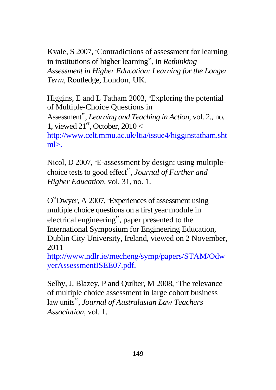Kvale, S 2007, "Contradictions of assessment for learning in institutions of higher learning", in *Rethinking Assessment in Higher Education: Learning for the Longer Term,* Routledge, London, UK.

Higgins, E and L Tatham 2003, " Exploring the potential of Multiple-Choice Questions in Assessment", *Learning and Teaching in Action*, vol. 2., no. 1, viewed  $21<sup>st</sup>$ , October,  $2010 <$ [http://www.celt.mmu.ac.uk/ltia/issue4/higginstatham.sht](http://www.celt.mmu.ac.uk/ltia/issue4/higginstatham.shtml) [ml>](http://www.celt.mmu.ac.uk/ltia/issue4/higginstatham.shtml).

Nicol, D 2007, " E-assessment by design: using multiplechoice tests to good effect", *Journal of Further and Higher Education*, vol. 31, no. 1.

O"Dwyer, A 2007, " Experiences of assessment using multiple choice questions on a first year module in electrical engineering", paper presented to the International Symposium for Engineering Education, Dublin City University, Ireland, viewed on 2 November, 2011

[http://www.ndlr.ie/mecheng/symp/papers/STAM/Odw](http://www.ndlr.ie/mecheng/symp/papers/STAM/OdwyerAssessmentISEE07.pdf.) [yerAssessmentISEE07.pdf.](http://www.ndlr.ie/mecheng/symp/papers/STAM/OdwyerAssessmentISEE07.pdf.)

Selby, J, Blazey, P and Quilter, M 2008, 'The relevance of multiple choice assessment in large cohort business law units", *Journal of Australasian Law Teachers Association*, vol. 1.